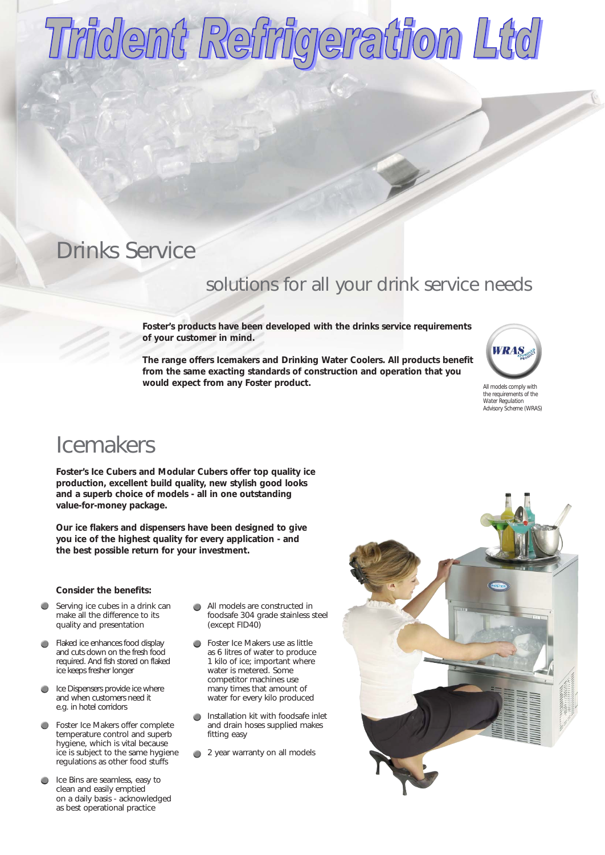# Trident Refrigeration Ltd

# Drinks Service

### solutions for all your drink service needs

**Foster's products have been developed with the drinks service requirements of your customer in mind.**

**The range offers Icemakers and Drinking Water Coolers. All products benefit from the same exacting standards of construction and operation that you would expect from any Foster product.** *All models comply with*



*the requirements of the Water Regulation Advisory Scheme (WRAS)*

## Icemakers

**Foster's Ice Cubers and Modular Cubers offer top quality ice production, excellent build quality, new stylish good looks and a superb choice of models - all in one outstanding value-for-money package.**

**Our ice flakers and dispensers have been designed to give you ice of the highest quality for every application - and the best possible return for your investment.** 

#### **Consider the benefits:**

- $\bullet$ Serving ice cubes in a drink can make all the difference to its quality and presentation
- Flaked ice enhances food display and cuts down on the fresh food required. And fish stored on flaked ice keeps fresher longer
- **Ice Dispensers provide ice where** and when customers need it e.g. in hotel corridors
- Foster Ice Makers offer complete  $\bullet$ temperature control and superb hygiene, which is vital because ice is subject to the same hygiene regulations as other food stuffs
- Ice Bins are seamless, easy to clean and easily emptied on a daily basis - acknowledged as best operational practice
- All models are constructed in foodsafe 304 grade stainless steel (except FID40)
- **Foster Ice Makers use as little** as 6 litres of water to produce 1 kilo of ice; important where water is metered. Some competitor machines use many times that amount of water for every kilo produced
- Installation kit with foodsafe inlet  $\bullet$ and drain hoses supplied makes fitting easy
- 2 year warranty on all models

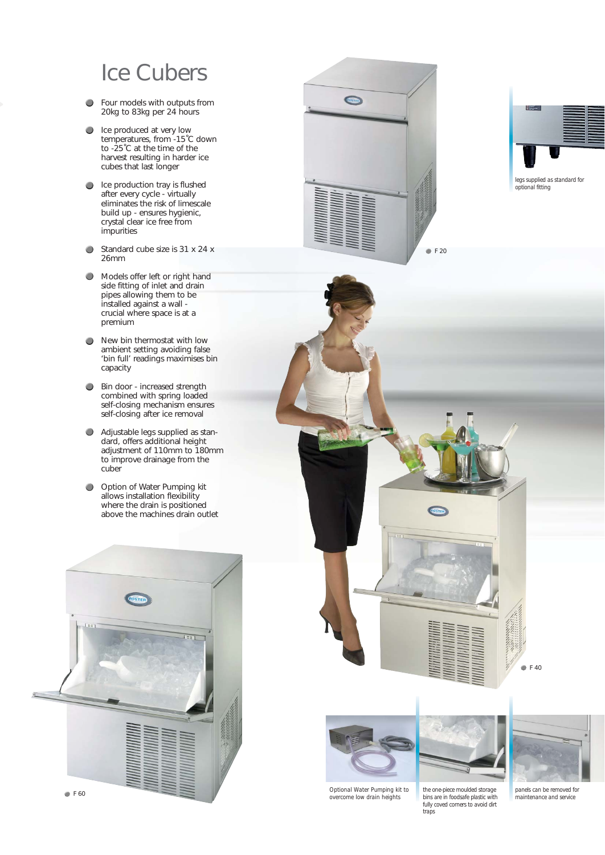# Ice Cubers

- $\bullet$ Four models with outputs from 20kg to 83kg per 24 hours
- Ice produced at very low temperatures, from -15˚C down to -25˚C at the time of the harvest resulting in harder ice cubes that last longer
- Ice production tray is flushed after every cycle - virtually eliminates the risk of limescale build up - ensures hygienic, crystal clear ice free from impurities
- $\bigcirc$ Standard cube size is 31 x 24 x 26mm
- Models offer left or right hand  $\bigcirc$ side fitting of inlet and drain pipes allowing them to be installed against a wall crucial where space is at a premium
- New bin thermostat with low  $\bullet$ ambient setting avoiding false 'bin full' readings maximises bin capacity
- **Bin door increased strength** combined with spring loaded self-closing mechanism ensures self-closing after ice removal
- $\bullet$ Adjustable legs supplied as standard, offers additional height adjustment of 110mm to 180mm to improve drainage from the cuber
- Option of Water Pumping kit  $\bullet$ allows installation flexibility where the drain is positioned above the machines drain outlet









*Optional Water Pumping kit to overcome low drain heights*



*the one-piece moulded storage bins are in foodsafe plastic with fully coved corners to avoid dirt traps*

**F** 40

*panels can be removed for maintenance and service*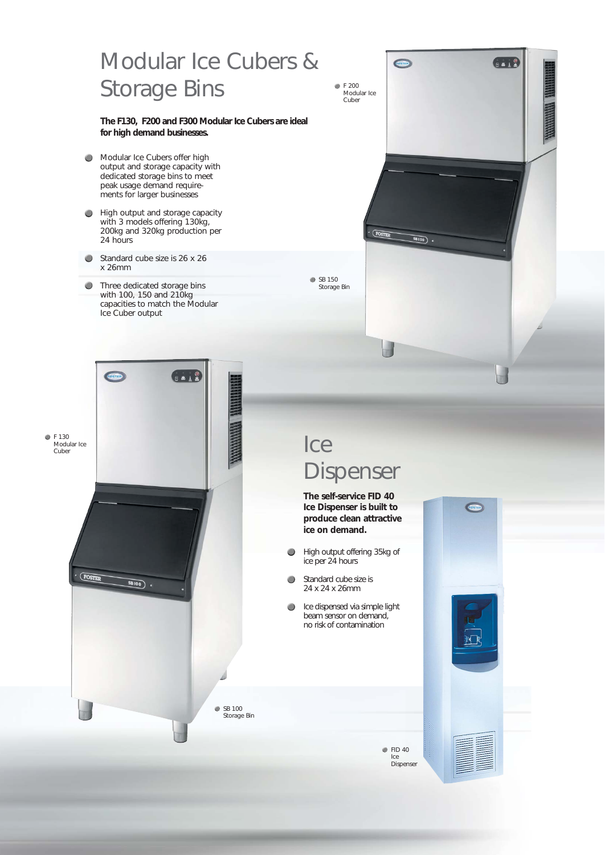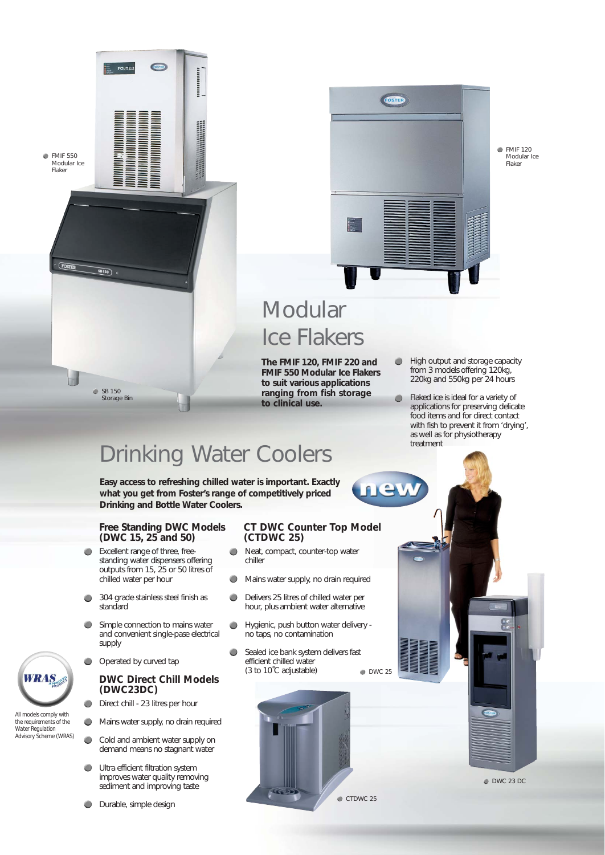



FOSTER

**CONTRO** 

,,,,,,,,,,,,

SB 150 Storage Bin



**EMIF 120** Modular Ice Flaker

# **Modular** Ice Flakers

**The FMIF 120, FMIF 220 and FMIF 550 Modular Ice Flakers to suit various applications ranging from fish storage to clinical use.**

- **High output and storage capacity** from 3 models offering 120kg, 220kg and 550kg per 24 hours
- $\bullet$ Flaked ice is ideal for a variety of applications for preserving delicate food items and for direct contact with fish to prevent it from 'drying', as well as for physiotherapy treatment

# Drinking Water Coolers

**Easy access to refreshing chilled water is important. Exactly what you get from Foster's range of competitively priced Drinking and Bottle Water Coolers.**

#### **Free Standing DWC Models (DWC 15, 25 and 50)**

- Excellent range of three, freestanding water dispensers offering outputs from 15, 25 or 50 litres of chilled water per hour
- 304 grade stainless steel finish as standard
- Simple connection to mains water and convenient single-pase electrical supply
- O Operated by curved tap

### **DWC Direct Chill Models (DWC23DC)**

- $\bullet$ Direct chill - 23 litres per hour
- Mains water supply, no drain required  $\bigcirc$
- $\bullet$ Cold and ambient water supply on demand means no stagnant water
- Ultra efficient filtration system ۰ improves water quality removing sediment and improving taste
- **Durable**, simple design

#### **CT DWC Counter Top Model (CTDWC 25)**

- $\bullet$ Neat, compact, counter-top water chiller
- $\bullet$ Mains water supply, no drain required
- Delivers 25 litres of chilled water per  $\bullet$ hour, plus ambient water alternative
- Hygienic, push button water delivery  $\bigcirc$ no taps, no contamination
- Sealed ice bank system delivers fast  $\bullet$ efficient chilled water  $(3 to 10^{\circ}$ C adjustable) DWC 25

ne







*All models comply with the requirements of the Water Regulation Advisory Scheme (WRAS)*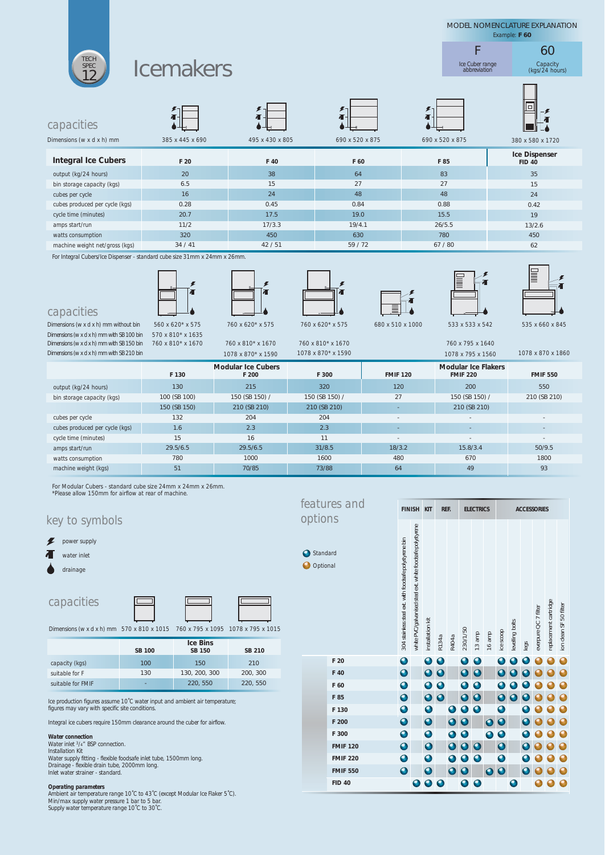

*For Modular Cubers - standard cube size 24mm x 24mm x 26mm. \*Please allow 150mm for airflow at rear of machine.*

#### *capacities* 150 130, 200, 300 220, 550 **SB 150** 210 200, 300 220, 550 **SB 210 Ice Bins** *Dimensions (w x d x h) mm 1078 x 795 x 1015 760 x 795 x 1095 570 x 810 x 1015* 100 130 - **SB 100** *features and key to symbols options* **O** Standa **O** Option **F 20 F 40 F 60** *capacity (kgs) suitable for F suitable for FMIF power supply water inlet drainage*

*Ice production figures assume 10˚C water input and ambient air temperature; figures may vary with specific site conditions.*

*Integral ice cubers require 150mm clearance around the cuber for airflow.*

*Water connection Water inlet 3/4" BSP connection.*

*Installation Kit*

*Water supply fitting - flexible foodsafe inlet tube, 1500mm long. Drainage - flexible drain tube, 2000mm long. Inlet water strainer - standard.*

#### *Operating parameters*

*Ambient air temperature range 10˚C to 43˚C (except Modular Ice Flaker 5˚C). Min/max supply water pressure 1 bar to 5 bar. Supply water temperature range 10˚C to 30˚C.*

| $\gamma_S$      |                                                        | <b>FINISH KIT</b>                                          |                         | REF.        |                         | <b>ELECTRICS</b>        |             |             | <b>ACCESSORIES</b>      |                 |      |                      |                       |                        |
|-----------------|--------------------------------------------------------|------------------------------------------------------------|-------------------------|-------------|-------------------------|-------------------------|-------------|-------------|-------------------------|-----------------|------|----------------------|-----------------------|------------------------|
| ard<br>ial      | 304 stainless steel ext. with foodsafe polystyrene bin | white PVC/galvanised steel ext. white foodsafe polystyrene | installation kit        | R134a       | R404a                   | 230/1/50                | 13 amp      | 16 amp      | ice scoop               | levelling bolts | legs | everpure QC 7 filter | replacement cartridge | ion clean SF 50 filter |
| F 20            | $\bullet$                                              |                                                            | $\mathbf 0$             | $\mathbf 0$ |                         | $\bullet$               | $\bullet$   |             | O                       | $\mathbf C$     |      |                      |                       | O                      |
| F 40            | $\mathbf 0$                                            |                                                            | $\bullet$               | $\bullet$   |                         | $\overline{\mathbf{o}}$ | $\mathbf 0$ |             | Ō                       |                 |      |                      |                       |                        |
| F 60            | $\bullet$                                              |                                                            | $\bullet$               | 0           |                         | $\bullet$               | $\mathbf 0$ |             |                         |                 |      |                      |                       |                        |
| F 85            | $\bullet$                                              |                                                            | $\bullet$               | $\bullet$   |                         | $\overline{\mathbf{o}}$ | $\bullet$   |             | $\bullet$               | O               |      |                      |                       |                        |
| F 130           |                                                        |                                                            | $\overline{\mathbf{o}}$ |             | 0                       | $\bullet$               | 0           |             | 0                       |                 |      |                      |                       |                        |
| F 200           | $\bullet$                                              |                                                            | $\bullet$               |             | $\bullet$               | $\bullet$               |             | $\bullet$   | $\bullet$               |                 | Ō    |                      |                       |                        |
| F 300           | $\bullet$                                              |                                                            | $\bullet$               |             | $\bullet$               | $\bullet$               |             | $\mathbf 0$ | $\mathbf 0$             |                 |      |                      |                       |                        |
| <b>FMIF 120</b> | $\bullet$                                              |                                                            | $\bullet$               |             | $\overline{\mathbf{o}}$ | $\bullet$               | $\mathbf 0$ |             | $\bullet$               |                 |      |                      |                       | 0                      |
| <b>FMIF 220</b> | $\bullet$                                              |                                                            | $\bullet$               |             | $\bullet$               | $\bullet$               | $\bullet$   |             | $\bullet$               |                 |      |                      |                       |                        |
| <b>FMIF 550</b> | $\bullet$                                              |                                                            | $\bullet$               |             | $\bullet$               | $\mathbf 0$             |             | O           | $\overline{\mathbf{o}}$ |                 | Ō    |                      |                       |                        |
| <b>FID 40</b>   |                                                        |                                                            | $\bullet$               |             |                         | $\bullet$               | $\mathbf 0$ |             |                         |                 |      |                      |                       |                        |